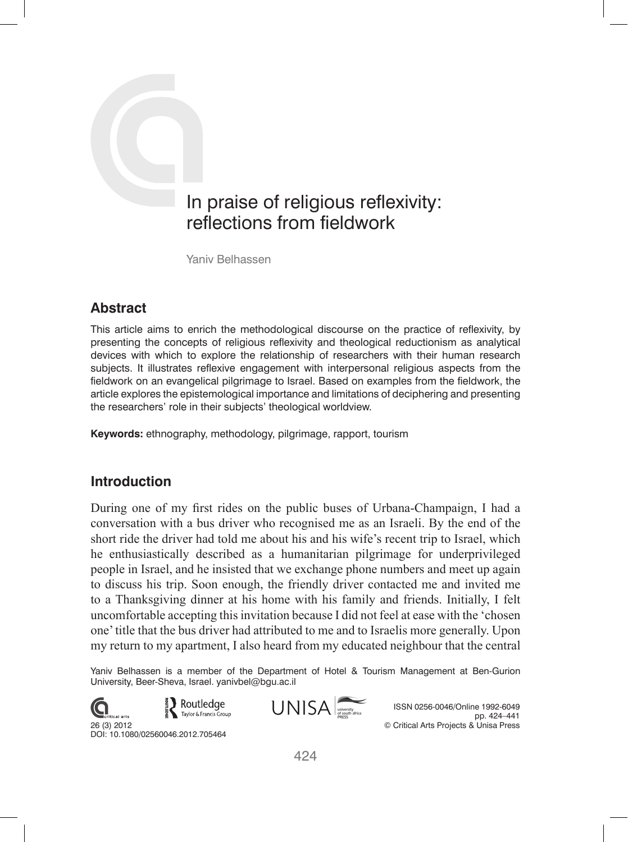

Yaniv Belhassen

### **Abstract**

This article aims to enrich the methodological discourse on the practice of reflexivity, by presenting the concepts of religious reflexivity and theological reductionism as analytical devices with which to explore the relationship of researchers with their human research subjects. It illustrates reflexive engagement with interpersonal religious aspects from the fieldwork on an evangelical pilgrimage to Israel. Based on examples from the fieldwork, the article explores the epistemological importance and limitations of deciphering and presenting the researchers' role in their subjects' theological worldview.

**Keywords:** ethnography, methodology, pilgrimage, rapport, tourism

#### **Introduction**

During one of my first rides on the public buses of Urbana-Champaign, I had a conversation with a bus driver who recognised me as an Israeli. By the end of the short ride the driver had told me about his and his wife's recent trip to Israel, which he enthusiastically described as a humanitarian pilgrimage for underprivileged people in Israel, and he insisted that we exchange phone numbers and meet up again to discuss his trip. Soon enough, the friendly driver contacted me and invited me to a Thanksgiving dinner at his home with his family and friends. Initially, I felt uncomfortable accepting this invitation because I did not feel at ease with the 'chosen one' title that the bus driver had attributed to me and to Israelis more generally. Upon my return to my apartment, I also heard from my educated neighbour that the central

Yaniv Belhassen is a member of the Department of Hotel & Tourism Management at Ben-Gurion University, Beer-Sheva, Israel. yanivbel@bgu.ac.il





ISSN 0256-0046/Online 1992-6049 pp. 424–441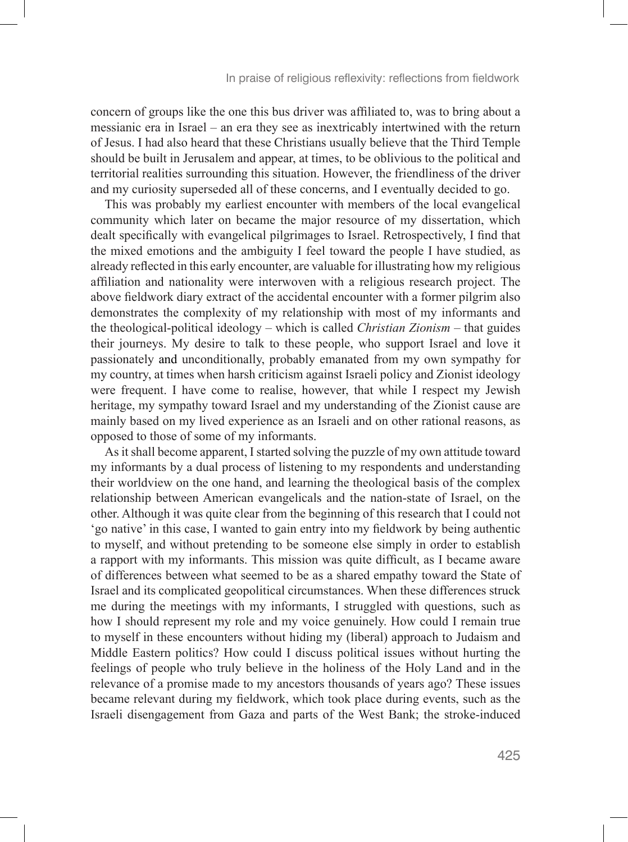concern of groups like the one this bus driver was affiliated to, was to bring about a messianic era in Israel – an era they see as inextricably intertwined with the return of Jesus. I had also heard that these Christians usually believe that the Third Temple should be built in Jerusalem and appear, at times, to be oblivious to the political and territorial realities surrounding this situation. However, the friendliness of the driver and my curiosity superseded all of these concerns, and I eventually decided to go.

This was probably my earliest encounter with members of the local evangelical community which later on became the major resource of my dissertation, which dealt specifically with evangelical pilgrimages to Israel. Retrospectively, I find that the mixed emotions and the ambiguity I feel toward the people I have studied, as already reflected in this early encounter, are valuable for illustrating how my religious affiliation and nationality were interwoven with a religious research project. The above fieldwork diary extract of the accidental encounter with a former pilgrim also demonstrates the complexity of my relationship with most of my informants and the theological-political ideology – which is called *Christian Zionism* – that guides their journeys. My desire to talk to these people, who support Israel and love it passionately and unconditionally, probably emanated from my own sympathy for my country, at times when harsh criticism against Israeli policy and Zionist ideology were frequent. I have come to realise, however, that while I respect my Jewish heritage, my sympathy toward Israel and my understanding of the Zionist cause are mainly based on my lived experience as an Israeli and on other rational reasons, as opposed to those of some of my informants.

As it shall become apparent, I started solving the puzzle of my own attitude toward my informants by a dual process of listening to my respondents and understanding their worldview on the one hand, and learning the theological basis of the complex relationship between American evangelicals and the nation-state of Israel, on the other. Although it was quite clear from the beginning of this research that I could not 'go native' in this case, I wanted to gain entry into my fieldwork by being authentic to myself, and without pretending to be someone else simply in order to establish a rapport with my informants. This mission was quite difficult, as I became aware of differences between what seemed to be as a shared empathy toward the State of Israel and its complicated geopolitical circumstances. When these differences struck me during the meetings with my informants, I struggled with questions, such as how I should represent my role and my voice genuinely. How could I remain true to myself in these encounters without hiding my (liberal) approach to Judaism and Middle Eastern politics? How could I discuss political issues without hurting the feelings of people who truly believe in the holiness of the Holy Land and in the relevance of a promise made to my ancestors thousands of years ago? These issues became relevant during my fieldwork, which took place during events, such as the Israeli disengagement from Gaza and parts of the West Bank; the stroke-induced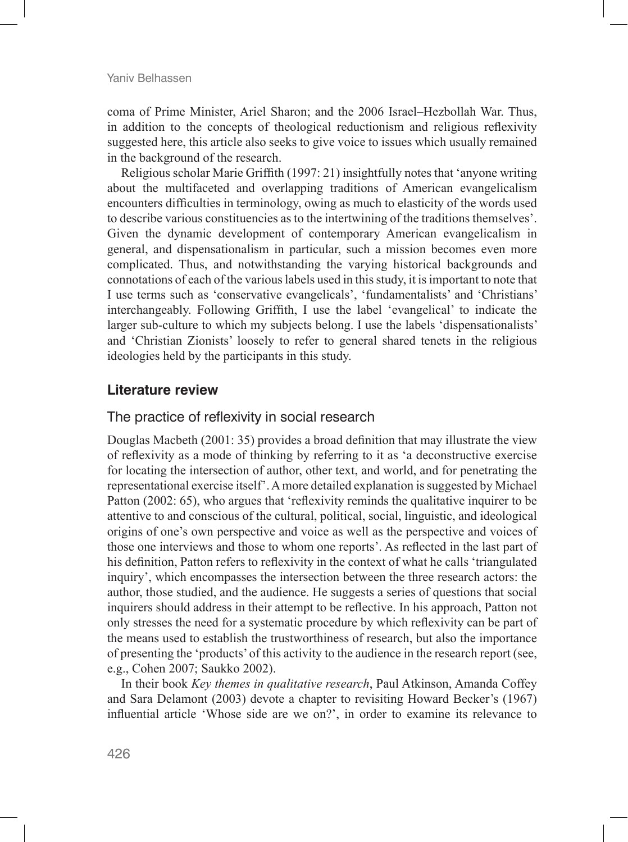coma of Prime Minister, Ariel Sharon; and the 2006 Israel–Hezbollah War. Thus, in addition to the concepts of theological reductionism and religious reflexivity suggested here, this article also seeks to give voice to issues which usually remained in the background of the research.

Religious scholar Marie Griffith (1997: 21) insightfully notes that 'anyone writing about the multifaceted and overlapping traditions of American evangelicalism encounters difficulties in terminology, owing as much to elasticity of the words used to describe various constituencies as to the intertwining of the traditions themselves'. Given the dynamic development of contemporary American evangelicalism in general, and dispensationalism in particular, such a mission becomes even more complicated. Thus, and notwithstanding the varying historical backgrounds and connotations of each of the various labels used in this study, it is important to note that I use terms such as 'conservative evangelicals', 'fundamentalists' and 'Christians' interchangeably. Following Griffith, I use the label 'evangelical' to indicate the larger sub-culture to which my subjects belong. I use the labels 'dispensationalists' and 'Christian Zionists' loosely to refer to general shared tenets in the religious ideologies held by the participants in this study.

#### **Literature review**

#### The practice of reflexivity in social research

Douglas Macbeth (2001: 35) provides a broad definition that may illustrate the view of reflexivity as a mode of thinking by referring to it as 'a deconstructive exercise for locating the intersection of author, other text, and world, and for penetrating the representational exercise itself'. A more detailed explanation is suggested by Michael Patton (2002: 65), who argues that 'reflexivity reminds the qualitative inquirer to be attentive to and conscious of the cultural, political, social, linguistic, and ideological origins of one's own perspective and voice as well as the perspective and voices of those one interviews and those to whom one reports'. As reflected in the last part of his definition, Patton refers to reflexivity in the context of what he calls 'triangulated inquiry', which encompasses the intersection between the three research actors: the author, those studied, and the audience. He suggests a series of questions that social inquirers should address in their attempt to be reflective. In his approach, Patton not only stresses the need for a systematic procedure by which reflexivity can be part of the means used to establish the trustworthiness of research, but also the importance of presenting the 'products' of this activity to the audience in the research report (see, e.g., Cohen 2007; Saukko 2002).

In their book *Key themes in qualitative research*, Paul Atkinson, Amanda Coffey and Sara Delamont (2003) devote a chapter to revisiting Howard Becker's (1967) influential article 'Whose side are we on?', in order to examine its relevance to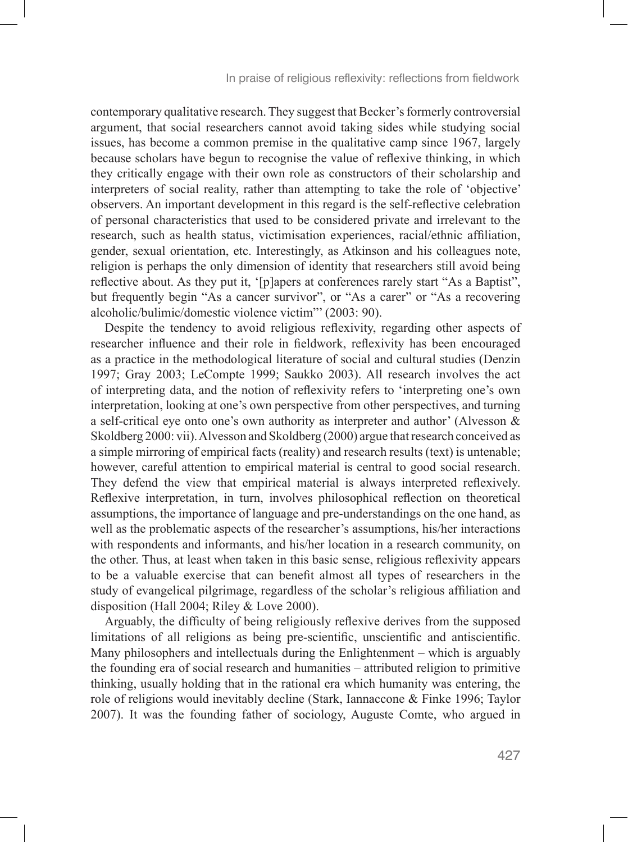contemporary qualitative research. They suggest that Becker's formerly controversial argument, that social researchers cannot avoid taking sides while studying social issues, has become a common premise in the qualitative camp since 1967, largely because scholars have begun to recognise the value of reflexive thinking, in which they critically engage with their own role as constructors of their scholarship and interpreters of social reality, rather than attempting to take the role of 'objective' observers. An important development in this regard is the self-reflective celebration of personal characteristics that used to be considered private and irrelevant to the research, such as health status, victimisation experiences, racial/ethnic affiliation, gender, sexual orientation, etc. Interestingly, as Atkinson and his colleagues note, religion is perhaps the only dimension of identity that researchers still avoid being reflective about. As they put it, '[p]apers at conferences rarely start "As a Baptist", but frequently begin "As a cancer survivor", or "As a carer" or "As a recovering alcoholic/bulimic/domestic violence victim"' (2003: 90).

Despite the tendency to avoid religious reflexivity, regarding other aspects of researcher influence and their role in fieldwork, reflexivity has been encouraged as a practice in the methodological literature of social and cultural studies (Denzin 1997; Gray 2003; LeCompte 1999; Saukko 2003). All research involves the act of interpreting data, and the notion of reflexivity refers to 'interpreting one's own interpretation, looking at one's own perspective from other perspectives, and turning a self-critical eye onto one's own authority as interpreter and author' (Alvesson & Skoldberg 2000: vii). Alvesson and Skoldberg (2000) argue that research conceived as a simple mirroring of empirical facts (reality) and research results (text) is untenable; however, careful attention to empirical material is central to good social research. They defend the view that empirical material is always interpreted reflexively. Reflexive interpretation, in turn, involves philosophical reflection on theoretical assumptions, the importance of language and pre-understandings on the one hand, as well as the problematic aspects of the researcher's assumptions, his/her interactions with respondents and informants, and his/her location in a research community, on the other. Thus, at least when taken in this basic sense, religious reflexivity appears to be a valuable exercise that can benefit almost all types of researchers in the study of evangelical pilgrimage, regardless of the scholar's religious affiliation and disposition (Hall 2004; Riley & Love 2000).

Arguably, the difficulty of being religiously reflexive derives from the supposed limitations of all religions as being pre-scientific, unscientific and antiscientific. Many philosophers and intellectuals during the Enlightenment – which is arguably the founding era of social research and humanities – attributed religion to primitive thinking, usually holding that in the rational era which humanity was entering, the role of religions would inevitably decline (Stark, Iannaccone & Finke 1996; Taylor 2007). It was the founding father of sociology, Auguste Comte, who argued in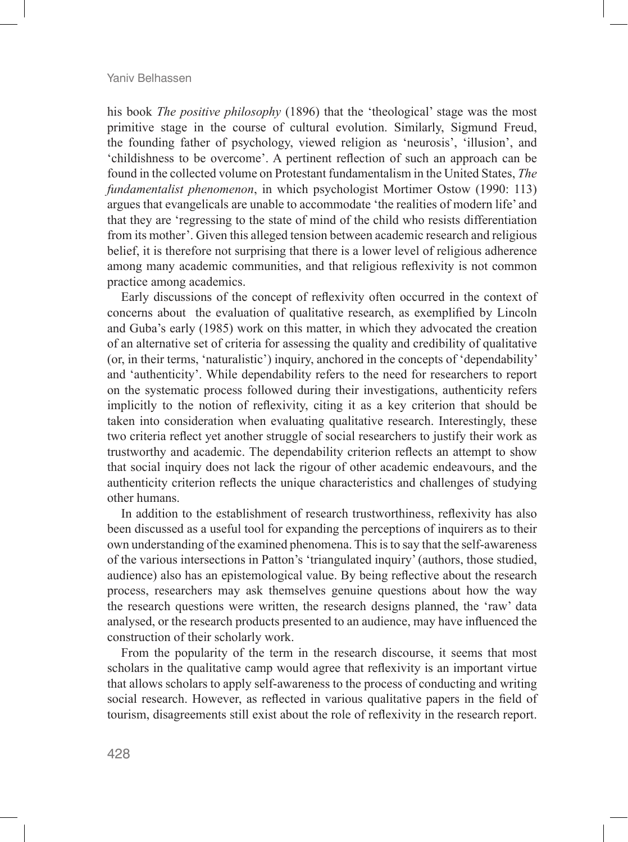his book *The positive philosophy* (1896) that the 'theological' stage was the most primitive stage in the course of cultural evolution. Similarly, Sigmund Freud, the founding father of psychology, viewed religion as 'neurosis', 'illusion', and 'childishness to be overcome'. A pertinent reflection of such an approach can be found in the collected volume on Protestant fundamentalism in the United States, *The fundamentalist phenomenon*, in which psychologist Mortimer Ostow (1990: 113) argues that evangelicals are unable to accommodate 'the realities of modern life' and that they are 'regressing to the state of mind of the child who resists differentiation from its mother'. Given this alleged tension between academic research and religious belief, it is therefore not surprising that there is a lower level of religious adherence among many academic communities, and that religious reflexivity is not common practice among academics.

Early discussions of the concept of reflexivity often occurred in the context of concerns about the evaluation of qualitative research, as exemplified by Lincoln and Guba's early (1985) work on this matter, in which they advocated the creation of an alternative set of criteria for assessing the quality and credibility of qualitative (or, in their terms, 'naturalistic') inquiry, anchored in the concepts of 'dependability' and 'authenticity'. While dependability refers to the need for researchers to report on the systematic process followed during their investigations, authenticity refers implicitly to the notion of reflexivity, citing it as a key criterion that should be taken into consideration when evaluating qualitative research. Interestingly, these two criteria reflect yet another struggle of social researchers to justify their work as trustworthy and academic. The dependability criterion reflects an attempt to show that social inquiry does not lack the rigour of other academic endeavours, and the authenticity criterion reflects the unique characteristics and challenges of studying other humans.

In addition to the establishment of research trustworthiness, reflexivity has also been discussed as a useful tool for expanding the perceptions of inquirers as to their own understanding of the examined phenomena. This is to say that the self-awareness of the various intersections in Patton's 'triangulated inquiry' (authors, those studied, audience) also has an epistemological value. By being reflective about the research process, researchers may ask themselves genuine questions about how the way the research questions were written, the research designs planned, the 'raw' data analysed, or the research products presented to an audience, may have influenced the construction of their scholarly work.

From the popularity of the term in the research discourse, it seems that most scholars in the qualitative camp would agree that reflexivity is an important virtue that allows scholars to apply self-awareness to the process of conducting and writing social research. However, as reflected in various qualitative papers in the field of tourism, disagreements still exist about the role of reflexivity in the research report.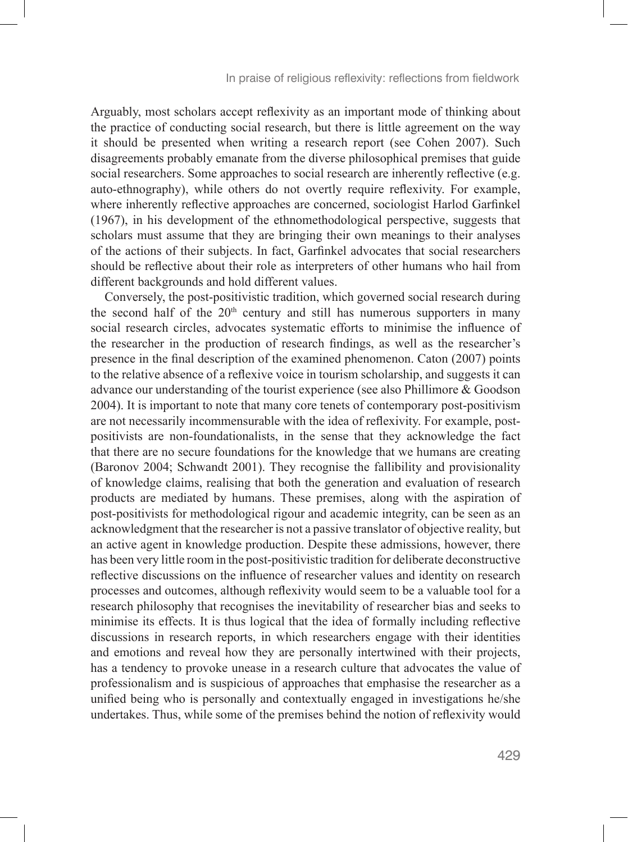Arguably, most scholars accept reflexivity as an important mode of thinking about the practice of conducting social research, but there is little agreement on the way it should be presented when writing a research report (see Cohen 2007). Such disagreements probably emanate from the diverse philosophical premises that guide social researchers. Some approaches to social research are inherently reflective (e.g. auto-ethnography), while others do not overtly require reflexivity. For example, where inherently reflective approaches are concerned, sociologist Harlod Garfinkel (1967), in his development of the ethnomethodological perspective, suggests that scholars must assume that they are bringing their own meanings to their analyses of the actions of their subjects. In fact, Garfinkel advocates that social researchers should be reflective about their role as interpreters of other humans who hail from different backgrounds and hold different values.

Conversely, the post-positivistic tradition, which governed social research during the second half of the  $20<sup>th</sup>$  century and still has numerous supporters in many social research circles, advocates systematic efforts to minimise the influence of the researcher in the production of research findings, as well as the researcher's presence in the final description of the examined phenomenon. Caton (2007) points to the relative absence of a reflexive voice in tourism scholarship, and suggests it can advance our understanding of the tourist experience (see also Phillimore & Goodson 2004). It is important to note that many core tenets of contemporary post-positivism are not necessarily incommensurable with the idea of reflexivity. For example, postpositivists are non-foundationalists, in the sense that they acknowledge the fact that there are no secure foundations for the knowledge that we humans are creating (Baronov 2004; Schwandt 2001). They recognise the fallibility and provisionality of knowledge claims, realising that both the generation and evaluation of research products are mediated by humans. These premises, along with the aspiration of post-positivists for methodological rigour and academic integrity, can be seen as an acknowledgment that the researcher is not a passive translator of objective reality, but an active agent in knowledge production. Despite these admissions, however, there has been very little room in the post-positivistic tradition for deliberate deconstructive reflective discussions on the influence of researcher values and identity on research processes and outcomes, although reflexivity would seem to be a valuable tool for a research philosophy that recognises the inevitability of researcher bias and seeks to minimise its effects. It is thus logical that the idea of formally including reflective discussions in research reports, in which researchers engage with their identities and emotions and reveal how they are personally intertwined with their projects, has a tendency to provoke unease in a research culture that advocates the value of professionalism and is suspicious of approaches that emphasise the researcher as a unified being who is personally and contextually engaged in investigations he/she undertakes. Thus, while some of the premises behind the notion of reflexivity would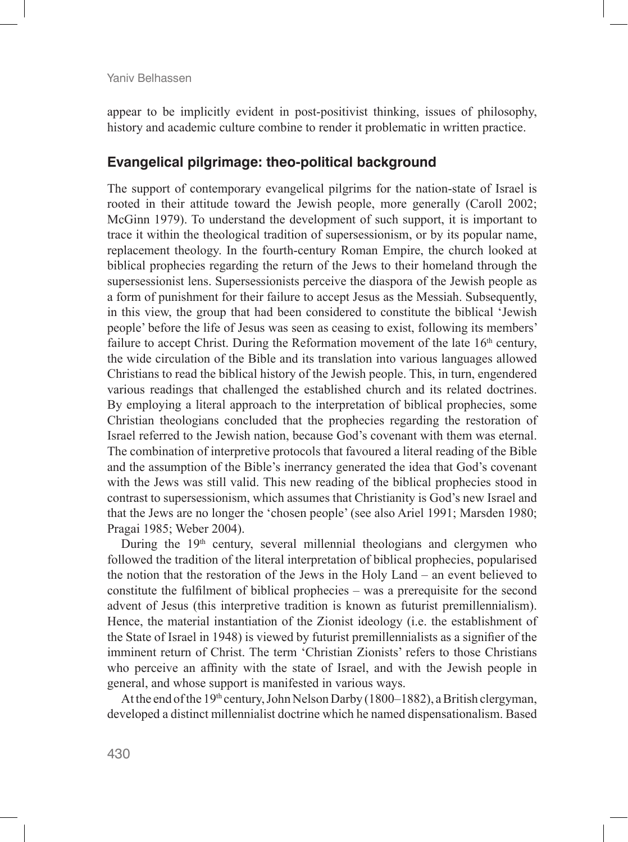appear to be implicitly evident in post-positivist thinking, issues of philosophy, history and academic culture combine to render it problematic in written practice.

## **Evangelical pilgrimage: theo-political background**

The support of contemporary evangelical pilgrims for the nation-state of Israel is rooted in their attitude toward the Jewish people, more generally (Caroll 2002; McGinn 1979). To understand the development of such support, it is important to trace it within the theological tradition of supersessionism, or by its popular name, replacement theology. In the fourth-century Roman Empire, the church looked at biblical prophecies regarding the return of the Jews to their homeland through the supersessionist lens. Supersessionists perceive the diaspora of the Jewish people as a form of punishment for their failure to accept Jesus as the Messiah. Subsequently, in this view, the group that had been considered to constitute the biblical 'Jewish people' before the life of Jesus was seen as ceasing to exist, following its members' failure to accept Christ. During the Reformation movement of the late  $16<sup>th</sup>$  century, the wide circulation of the Bible and its translation into various languages allowed Christians to read the biblical history of the Jewish people. This, in turn, engendered various readings that challenged the established church and its related doctrines. By employing a literal approach to the interpretation of biblical prophecies, some Christian theologians concluded that the prophecies regarding the restoration of Israel referred to the Jewish nation, because God's covenant with them was eternal. The combination of interpretive protocols that favoured a literal reading of the Bible and the assumption of the Bible's inerrancy generated the idea that God's covenant with the Jews was still valid. This new reading of the biblical prophecies stood in contrast to supersessionism, which assumes that Christianity is God's new Israel and that the Jews are no longer the 'chosen people' (see also Ariel 1991; Marsden 1980; Pragai 1985; Weber 2004).

During the  $19<sup>th</sup>$  century, several millennial theologians and clergymen who followed the tradition of the literal interpretation of biblical prophecies, popularised the notion that the restoration of the Jews in the Holy Land – an event believed to constitute the fulfilment of biblical prophecies – was a prerequisite for the second advent of Jesus (this interpretive tradition is known as futurist premillennialism). Hence, the material instantiation of the Zionist ideology (i.e. the establishment of the State of Israel in 1948) is viewed by futurist premillennialists as a signifier of the imminent return of Christ. The term 'Christian Zionists' refers to those Christians who perceive an affinity with the state of Israel, and with the Jewish people in general, and whose support is manifested in various ways.

At the end of the 19<sup>th</sup> century, John Nelson Darby (1800–1882), a British clergyman, developed a distinct millennialist doctrine which he named dispensationalism. Based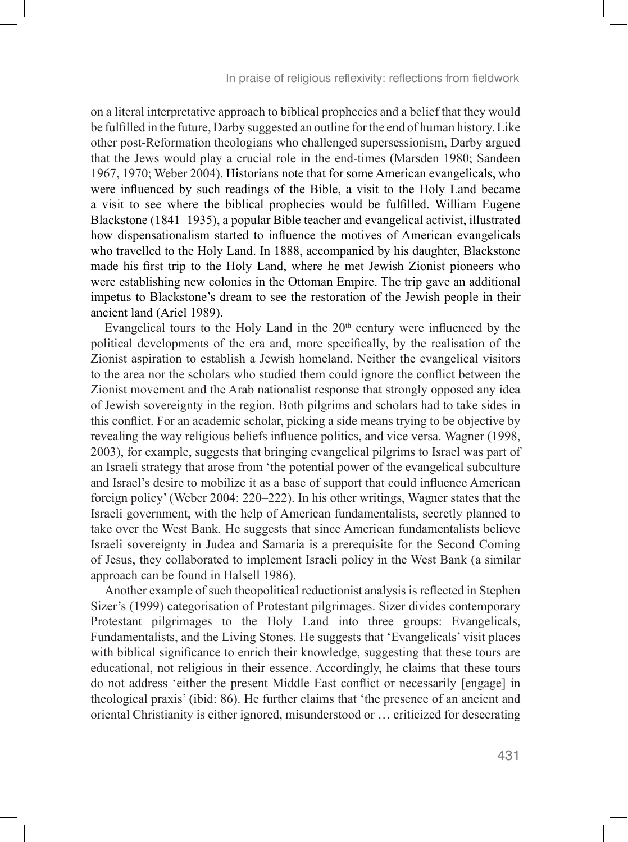on a literal interpretative approach to biblical prophecies and a belief that they would be fulfilled in the future, Darby suggested an outline for the end of human history. Like other post-Reformation theologians who challenged supersessionism, Darby argued that the Jews would play a crucial role in the end-times (Marsden 1980; Sandeen 1967, 1970; Weber 2004). Historians note that for some American evangelicals, who were influenced by such readings of the Bible, a visit to the Holy Land became a visit to see where the biblical prophecies would be fulfilled. William Eugene Blackstone (1841–1935), a popular Bible teacher and evangelical activist, illustrated how dispensationalism started to influence the motives of American evangelicals who travelled to the Holy Land. In 1888, accompanied by his daughter, Blackstone made his first trip to the Holy Land, where he met Jewish Zionist pioneers who were establishing new colonies in the Ottoman Empire. The trip gave an additional impetus to Blackstone's dream to see the restoration of the Jewish people in their ancient land (Ariel 1989).

Evangelical tours to the Holy Land in the  $20<sup>th</sup>$  century were influenced by the political developments of the era and, more specifically, by the realisation of the Zionist aspiration to establish a Jewish homeland. Neither the evangelical visitors to the area nor the scholars who studied them could ignore the conflict between the Zionist movement and the Arab nationalist response that strongly opposed any idea of Jewish sovereignty in the region. Both pilgrims and scholars had to take sides in this conflict. For an academic scholar, picking a side means trying to be objective by revealing the way religious beliefs influence politics, and vice versa. Wagner (1998, 2003), for example, suggests that bringing evangelical pilgrims to Israel was part of an Israeli strategy that arose from 'the potential power of the evangelical subculture and Israel's desire to mobilize it as a base of support that could influence American foreign policy' (Weber 2004: 220–222). In his other writings, Wagner states that the Israeli government, with the help of American fundamentalists, secretly planned to take over the West Bank. He suggests that since American fundamentalists believe Israeli sovereignty in Judea and Samaria is a prerequisite for the Second Coming of Jesus, they collaborated to implement Israeli policy in the West Bank (a similar approach can be found in Halsell 1986).

Another example of such theopolitical reductionist analysis is reflected in Stephen Sizer's (1999) categorisation of Protestant pilgrimages. Sizer divides contemporary Protestant pilgrimages to the Holy Land into three groups: Evangelicals, Fundamentalists, and the Living Stones. He suggests that 'Evangelicals' visit places with biblical significance to enrich their knowledge, suggesting that these tours are educational, not religious in their essence. Accordingly, he claims that these tours do not address 'either the present Middle East conflict or necessarily [engage] in theological praxis' (ibid: 86). He further claims that 'the presence of an ancient and oriental Christianity is either ignored, misunderstood or … criticized for desecrating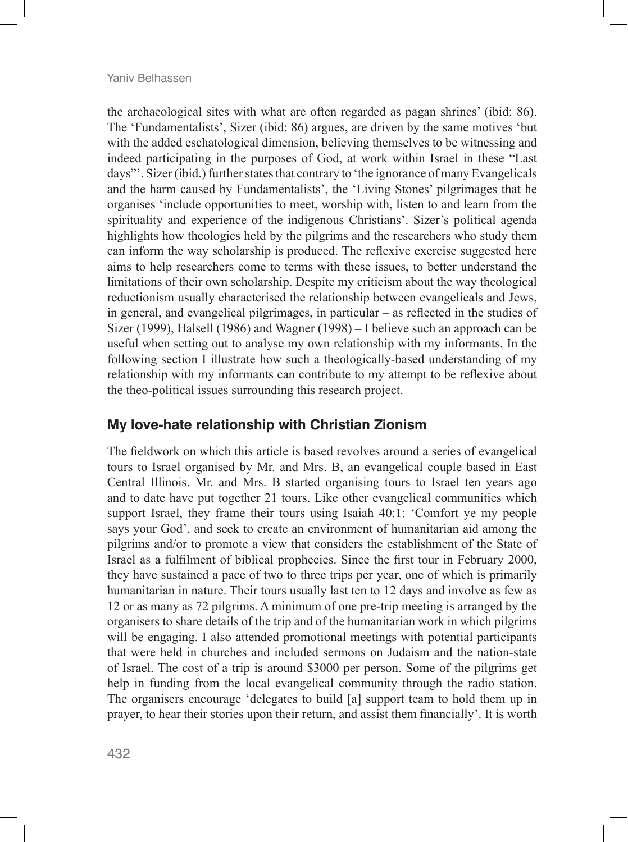the archaeological sites with what are often regarded as pagan shrines' (ibid: 86). The 'Fundamentalists', Sizer (ibid: 86) argues, are driven by the same motives 'but with the added eschatological dimension, believing themselves to be witnessing and indeed participating in the purposes of God, at work within Israel in these "Last days"'. Sizer (ibid.) further states that contrary to 'the ignorance of many Evangelicals and the harm caused by Fundamentalists', the 'Living Stones' pilgrimages that he organises 'include opportunities to meet, worship with, listen to and learn from the spirituality and experience of the indigenous Christians'. Sizer's political agenda highlights how theologies held by the pilgrims and the researchers who study them can inform the way scholarship is produced. The reflexive exercise suggested here aims to help researchers come to terms with these issues, to better understand the limitations of their own scholarship. Despite my criticism about the way theological reductionism usually characterised the relationship between evangelicals and Jews, in general, and evangelical pilgrimages, in particular – as reflected in the studies of Sizer (1999), Halsell (1986) and Wagner (1998) – I believe such an approach can be useful when setting out to analyse my own relationship with my informants. In the following section I illustrate how such a theologically-based understanding of my relationship with my informants can contribute to my attempt to be reflexive about the theo-political issues surrounding this research project.

# **My love-hate relationship with Christian Zionism**

The fieldwork on which this article is based revolves around a series of evangelical tours to Israel organised by Mr. and Mrs. B, an evangelical couple based in East Central Illinois. Mr. and Mrs. B started organising tours to Israel ten years ago and to date have put together 21 tours. Like other evangelical communities which support Israel, they frame their tours using Isaiah 40:1: 'Comfort ye my people says your God', and seek to create an environment of humanitarian aid among the pilgrims and/or to promote a view that considers the establishment of the State of Israel as a fulfilment of biblical prophecies. Since the first tour in February 2000, they have sustained a pace of two to three trips per year, one of which is primarily humanitarian in nature. Their tours usually last ten to 12 days and involve as few as 12 or as many as 72 pilgrims. A minimum of one pre-trip meeting is arranged by the organisers to share details of the trip and of the humanitarian work in which pilgrims will be engaging. I also attended promotional meetings with potential participants that were held in churches and included sermons on Judaism and the nation-state of Israel. The cost of a trip is around \$3000 per person. Some of the pilgrims get help in funding from the local evangelical community through the radio station. The organisers encourage 'delegates to build [a] support team to hold them up in prayer, to hear their stories upon their return, and assist them financially'. It is worth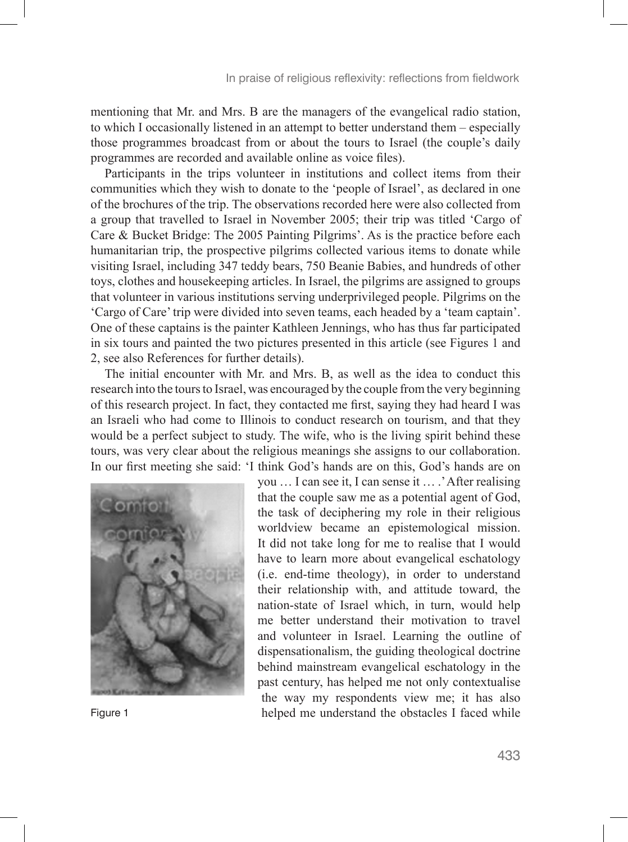mentioning that Mr. and Mrs. B are the managers of the evangelical radio station, to which I occasionally listened in an attempt to better understand them – especially those programmes broadcast from or about the tours to Israel (the couple's daily programmes are recorded and available online as voice files).

Participants in the trips volunteer in institutions and collect items from their communities which they wish to donate to the 'people of Israel', as declared in one of the brochures of the trip. The observations recorded here were also collected from a group that travelled to Israel in November 2005; their trip was titled 'Cargo of Care & Bucket Bridge: The 2005 Painting Pilgrims'. As is the practice before each humanitarian trip, the prospective pilgrims collected various items to donate while visiting Israel, including 347 teddy bears, 750 Beanie Babies, and hundreds of other toys, clothes and housekeeping articles. In Israel, the pilgrims are assigned to groups that volunteer in various institutions serving underprivileged people. Pilgrims on the 'Cargo of Care' trip were divided into seven teams, each headed by a 'team captain'. One of these captains is the painter Kathleen Jennings, who has thus far participated in six tours and painted the two pictures presented in this article (see Figures 1 and 2, see also References for further details).

The initial encounter with Mr. and Mrs. B, as well as the idea to conduct this research into the tours to Israel, was encouraged by the couple from the very beginning of this research project. In fact, they contacted me first, saying they had heard I was an Israeli who had come to Illinois to conduct research on tourism, and that they would be a perfect subject to study. The wife, who is the living spirit behind these tours, was very clear about the religious meanings she assigns to our collaboration. In our first meeting she said: 'I think God's hands are on this, God's hands are on



you … I can see it, I can sense it … .' After realising that the couple saw me as a potential agent of God, the task of deciphering my role in their religious worldview became an epistemological mission. It did not take long for me to realise that I would have to learn more about evangelical eschatology (i.e. end-time theology), in order to understand their relationship with, and attitude toward, the nation-state of Israel which, in turn, would help me better understand their motivation to travel and volunteer in Israel. Learning the outline of dispensationalism, the guiding theological doctrine behind mainstream evangelical eschatology in the past century, has helped me not only contextualise the way my respondents view me; it has also Figure 1 helped me understand the obstacles I faced while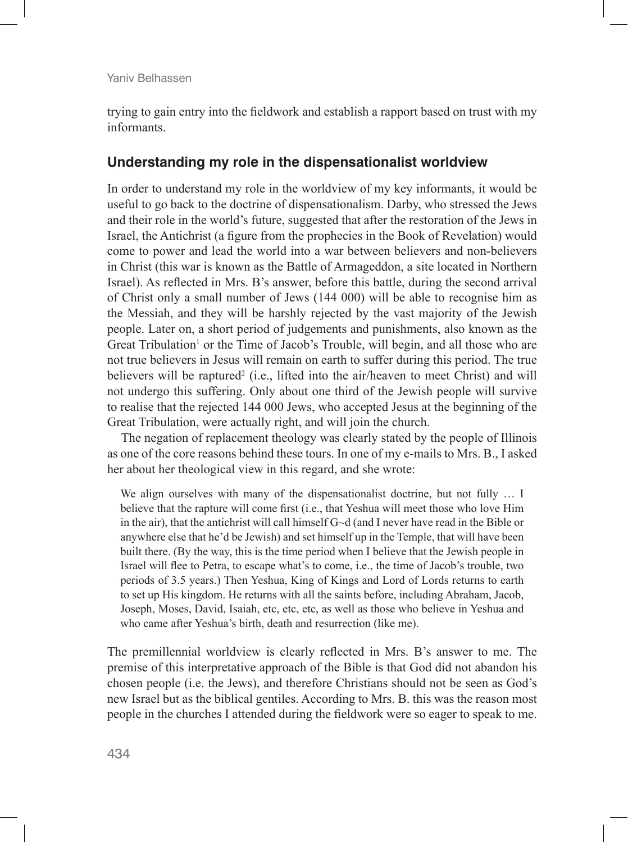trying to gain entry into the fieldwork and establish a rapport based on trust with my informants.

# **Understanding my role in the dispensationalist worldview**

In order to understand my role in the worldview of my key informants, it would be useful to go back to the doctrine of dispensationalism. Darby, who stressed the Jews and their role in the world's future, suggested that after the restoration of the Jews in Israel, the Antichrist (a figure from the prophecies in the Book of Revelation) would come to power and lead the world into a war between believers and non-believers in Christ (this war is known as the Battle of Armageddon, a site located in Northern Israel). As reflected in Mrs. B's answer, before this battle, during the second arrival of Christ only a small number of Jews (144 000) will be able to recognise him as the Messiah, and they will be harshly rejected by the vast majority of the Jewish people. Later on, a short period of judgements and punishments, also known as the Great Tribulation<sup>1</sup> or the Time of Jacob's Trouble, will begin, and all those who are not true believers in Jesus will remain on earth to suffer during this period. The true believers will be raptured<sup>2</sup> (i.e., lifted into the air/heaven to meet Christ) and will not undergo this suffering. Only about one third of the Jewish people will survive to realise that the rejected 144 000 Jews, who accepted Jesus at the beginning of the Great Tribulation, were actually right, and will join the church.

The negation of replacement theology was clearly stated by the people of Illinois as one of the core reasons behind these tours. In one of my e-mails to Mrs. B., I asked her about her theological view in this regard, and she wrote:

We align ourselves with many of the dispensationalist doctrine, but not fully … I believe that the rapture will come first (i.e., that Yeshua will meet those who love Him in the air), that the antichrist will call himself G~d (and I never have read in the Bible or anywhere else that he'd be Jewish) and set himself up in the Temple, that will have been built there. (By the way, this is the time period when I believe that the Jewish people in Israel will flee to Petra, to escape what's to come, i.e., the time of Jacob's trouble, two periods of 3.5 years.) Then Yeshua, King of Kings and Lord of Lords returns to earth to set up His kingdom. He returns with all the saints before, including Abraham, Jacob, Joseph, Moses, David, Isaiah, etc, etc, etc, as well as those who believe in Yeshua and who came after Yeshua's birth, death and resurrection (like me).

The premillennial worldview is clearly reflected in Mrs. B's answer to me. The premise of this interpretative approach of the Bible is that God did not abandon his chosen people (i.e. the Jews), and therefore Christians should not be seen as God's new Israel but as the biblical gentiles. According to Mrs. B. this was the reason most people in the churches I attended during the fieldwork were so eager to speak to me.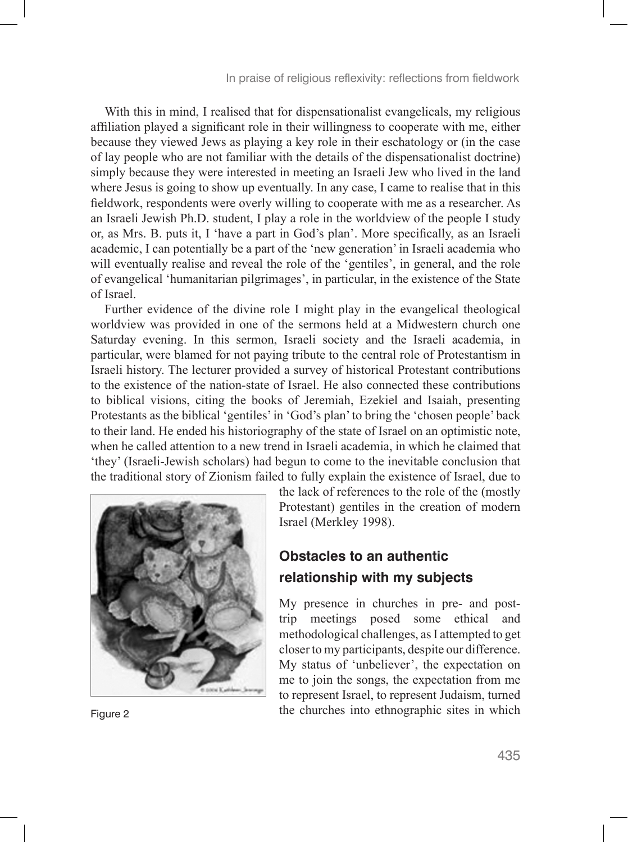With this in mind, I realised that for dispensationalist evangelicals, my religious affiliation played a significant role in their willingness to cooperate with me, either because they viewed Jews as playing a key role in their eschatology or (in the case of lay people who are not familiar with the details of the dispensationalist doctrine) simply because they were interested in meeting an Israeli Jew who lived in the land where Jesus is going to show up eventually. In any case, I came to realise that in this fieldwork, respondents were overly willing to cooperate with me as a researcher. As an Israeli Jewish Ph.D. student, I play a role in the worldview of the people I study or, as Mrs. B. puts it, I 'have a part in God's plan'. More specifically, as an Israeli academic, I can potentially be a part of the 'new generation' in Israeli academia who will eventually realise and reveal the role of the 'gentiles', in general, and the role of evangelical 'humanitarian pilgrimages', in particular, in the existence of the State of Israel.

Further evidence of the divine role I might play in the evangelical theological worldview was provided in one of the sermons held at a Midwestern church one Saturday evening. In this sermon, Israeli society and the Israeli academia, in particular, were blamed for not paying tribute to the central role of Protestantism in Israeli history. The lecturer provided a survey of historical Protestant contributions to the existence of the nation-state of Israel. He also connected these contributions to biblical visions, citing the books of Jeremiah, Ezekiel and Isaiah, presenting Protestants as the biblical 'gentiles' in 'God's plan' to bring the 'chosen people' back to their land. He ended his historiography of the state of Israel on an optimistic note, when he called attention to a new trend in Israeli academia, in which he claimed that 'they' (Israeli-Jewish scholars) had begun to come to the inevitable conclusion that the traditional story of Zionism failed to fully explain the existence of Israel, due to



the lack of references to the role of the (mostly Protestant) gentiles in the creation of modern Israel (Merkley 1998).

# **Obstacles to an authentic relationship with my subjects**

My presence in churches in pre- and posttrip meetings posed some ethical and methodological challenges, as I attempted to get closer to my participants, despite our difference. My status of 'unbeliever', the expectation on me to join the songs, the expectation from me to represent Israel, to represent Judaism, turned the churches into ethnographic sites in which Figure 2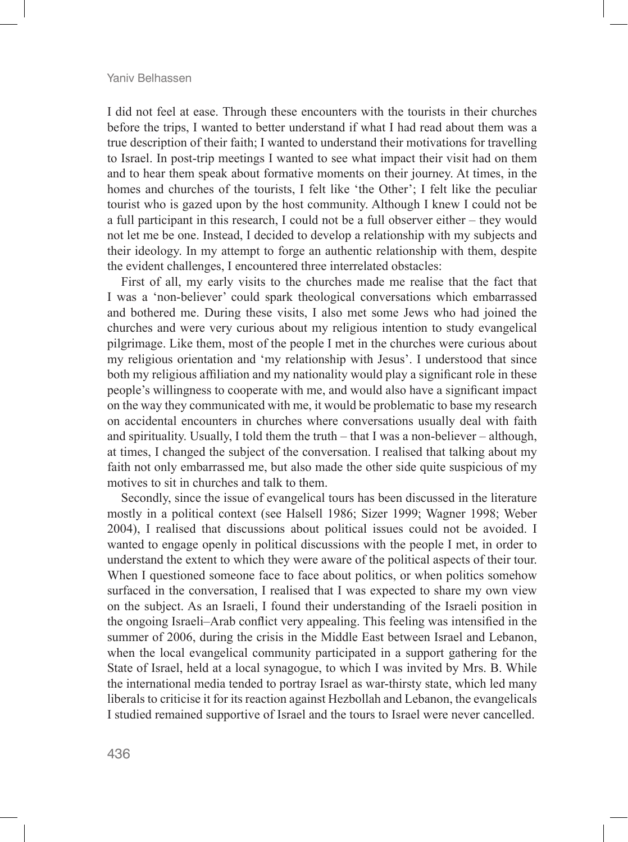I did not feel at ease. Through these encounters with the tourists in their churches before the trips, I wanted to better understand if what I had read about them was a true description of their faith; I wanted to understand their motivations for travelling to Israel. In post-trip meetings I wanted to see what impact their visit had on them and to hear them speak about formative moments on their journey. At times, in the homes and churches of the tourists, I felt like 'the Other'; I felt like the peculiar tourist who is gazed upon by the host community. Although I knew I could not be a full participant in this research, I could not be a full observer either – they would not let me be one. Instead, I decided to develop a relationship with my subjects and their ideology. In my attempt to forge an authentic relationship with them, despite the evident challenges, I encountered three interrelated obstacles:

First of all, my early visits to the churches made me realise that the fact that I was a 'non-believer' could spark theological conversations which embarrassed and bothered me. During these visits, I also met some Jews who had joined the churches and were very curious about my religious intention to study evangelical pilgrimage. Like them, most of the people I met in the churches were curious about my religious orientation and 'my relationship with Jesus'. I understood that since both my religious affiliation and my nationality would play a significant role in these people's willingness to cooperate with me, and would also have a significant impact on the way they communicated with me, it would be problematic to base my research on accidental encounters in churches where conversations usually deal with faith and spirituality. Usually, I told them the truth – that I was a non-believer – although, at times, I changed the subject of the conversation. I realised that talking about my faith not only embarrassed me, but also made the other side quite suspicious of my motives to sit in churches and talk to them.

Secondly, since the issue of evangelical tours has been discussed in the literature mostly in a political context (see Halsell 1986; Sizer 1999; Wagner 1998; Weber 2004), I realised that discussions about political issues could not be avoided. I wanted to engage openly in political discussions with the people I met, in order to understand the extent to which they were aware of the political aspects of their tour. When I questioned someone face to face about politics, or when politics somehow surfaced in the conversation, I realised that I was expected to share my own view on the subject. As an Israeli, I found their understanding of the Israeli position in the ongoing Israeli–Arab conflict very appealing. This feeling was intensified in the summer of 2006, during the crisis in the Middle East between Israel and Lebanon, when the local evangelical community participated in a support gathering for the State of Israel, held at a local synagogue, to which I was invited by Mrs. B. While the international media tended to portray Israel as war-thirsty state, which led many liberals to criticise it for its reaction against Hezbollah and Lebanon, the evangelicals I studied remained supportive of Israel and the tours to Israel were never cancelled.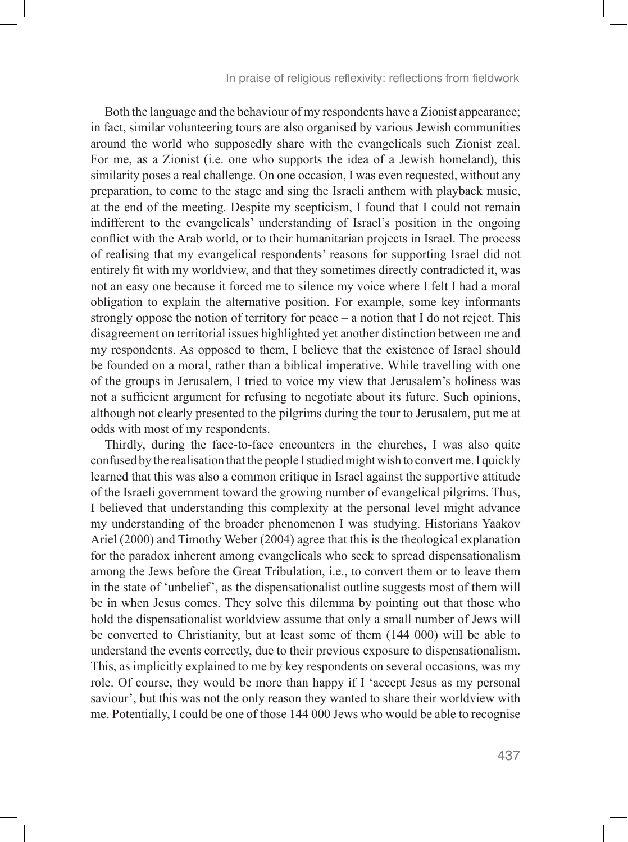Both the language and the behaviour of my respondents have a Zionist appearance; in fact, similar volunteering tours are also organised by various Jewish communities around the world who supposedly share with the evangelicals such Zionist zeal. For me, as a Zionist (i.e. one who supports the idea of a Jewish homeland), this similarity poses a real challenge. On one occasion, I was even requested, without any preparation, to come to the stage and sing the Israeli anthem with playback music, at the end of the meeting. Despite my scepticism, I found that I could not remain indifferent to the evangelicals' understanding of Israel's position in the ongoing conflict with the Arab world, or to their humanitarian projects in Israel. The process of realising that my evangelical respondents' reasons for supporting Israel did not entirely fit with my worldview, and that they sometimes directly contradicted it, was not an easy one because it forced me to silence my voice where I felt I had a moral obligation to explain the alternative position. For example, some key informants strongly oppose the notion of territory for peace – a notion that I do not reject. This disagreement on territorial issues highlighted yet another distinction between me and my respondents. As opposed to them, I believe that the existence of Israel should be founded on a moral, rather than a biblical imperative. While travelling with one of the groups in Jerusalem, I tried to voice my view that Jerusalem's holiness was not a sufficient argument for refusing to negotiate about its future. Such opinions, although not clearly presented to the pilgrims during the tour to Jerusalem, put me at odds with most of my respondents.

Thirdly, during the face-to-face encounters in the churches, I was also quite confused by the realisation that the people I studied might wish to convert me. I quickly learned that this was also a common critique in Israel against the supportive attitude of the Israeli government toward the growing number of evangelical pilgrims. Thus, I believed that understanding this complexity at the personal level might advance my understanding of the broader phenomenon I was studying. Historians Yaakov Ariel (2000) and Timothy Weber (2004) agree that this is the theological explanation for the paradox inherent among evangelicals who seek to spread dispensationalism among the Jews before the Great Tribulation, i.e., to convert them or to leave them in the state of 'unbelief', as the dispensationalist outline suggests most of them will be in when Jesus comes. They solve this dilemma by pointing out that those who hold the dispensationalist worldview assume that only a small number of Jews will be converted to Christianity, but at least some of them (144 000) will be able to understand the events correctly, due to their previous exposure to dispensationalism. This, as implicitly explained to me by key respondents on several occasions, was my role. Of course, they would be more than happy if I 'accept Jesus as my personal saviour', but this was not the only reason they wanted to share their worldview with me. Potentially, I could be one of those 144 000 Jews who would be able to recognise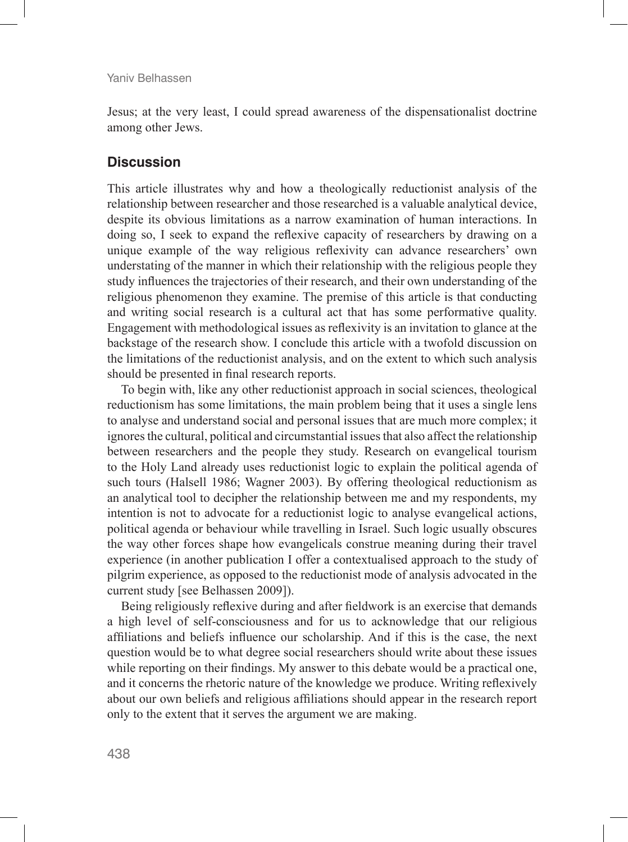Jesus; at the very least, I could spread awareness of the dispensationalist doctrine among other Jews.

### **Discussion**

This article illustrates why and how a theologically reductionist analysis of the relationship between researcher and those researched is a valuable analytical device, despite its obvious limitations as a narrow examination of human interactions. In doing so, I seek to expand the reflexive capacity of researchers by drawing on a unique example of the way religious reflexivity can advance researchers' own understating of the manner in which their relationship with the religious people they study influences the trajectories of their research, and their own understanding of the religious phenomenon they examine. The premise of this article is that conducting and writing social research is a cultural act that has some performative quality. Engagement with methodological issues as reflexivity is an invitation to glance at the backstage of the research show. I conclude this article with a twofold discussion on the limitations of the reductionist analysis, and on the extent to which such analysis should be presented in final research reports.

To begin with, like any other reductionist approach in social sciences, theological reductionism has some limitations, the main problem being that it uses a single lens to analyse and understand social and personal issues that are much more complex; it ignores the cultural, political and circumstantial issues that also affect the relationship between researchers and the people they study. Research on evangelical tourism to the Holy Land already uses reductionist logic to explain the political agenda of such tours (Halsell 1986; Wagner 2003). By offering theological reductionism as an analytical tool to decipher the relationship between me and my respondents, my intention is not to advocate for a reductionist logic to analyse evangelical actions, political agenda or behaviour while travelling in Israel. Such logic usually obscures the way other forces shape how evangelicals construe meaning during their travel experience (in another publication I offer a contextualised approach to the study of pilgrim experience, as opposed to the reductionist mode of analysis advocated in the current study [see Belhassen 2009]).

Being religiously reflexive during and after fieldwork is an exercise that demands a high level of self-consciousness and for us to acknowledge that our religious affiliations and beliefs influence our scholarship. And if this is the case, the next question would be to what degree social researchers should write about these issues while reporting on their findings. My answer to this debate would be a practical one, and it concerns the rhetoric nature of the knowledge we produce. Writing reflexively about our own beliefs and religious affiliations should appear in the research report only to the extent that it serves the argument we are making.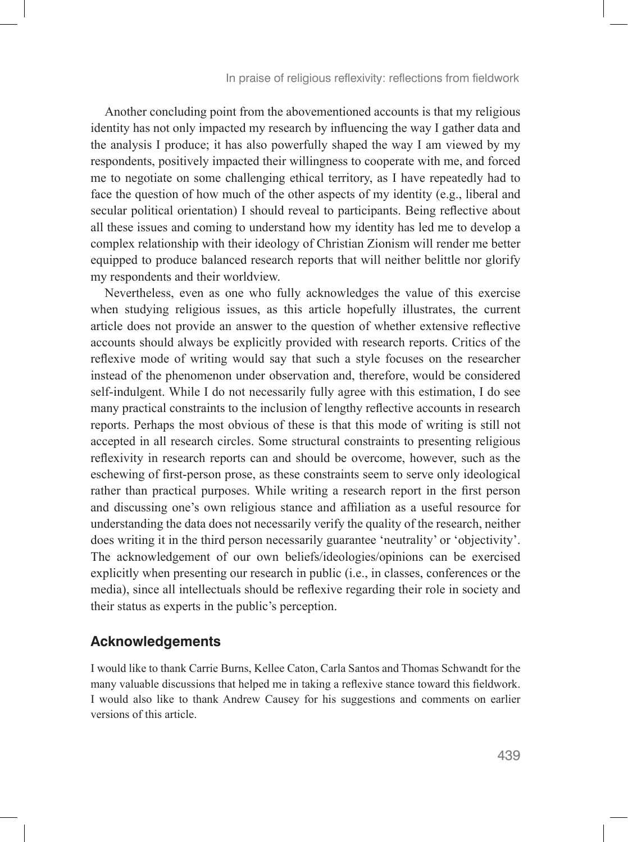Another concluding point from the abovementioned accounts is that my religious identity has not only impacted my research by influencing the way I gather data and the analysis I produce; it has also powerfully shaped the way I am viewed by my respondents, positively impacted their willingness to cooperate with me, and forced me to negotiate on some challenging ethical territory, as I have repeatedly had to face the question of how much of the other aspects of my identity (e.g., liberal and secular political orientation) I should reveal to participants. Being reflective about all these issues and coming to understand how my identity has led me to develop a complex relationship with their ideology of Christian Zionism will render me better equipped to produce balanced research reports that will neither belittle nor glorify my respondents and their worldview.

Nevertheless, even as one who fully acknowledges the value of this exercise when studying religious issues, as this article hopefully illustrates, the current article does not provide an answer to the question of whether extensive reflective accounts should always be explicitly provided with research reports. Critics of the reflexive mode of writing would say that such a style focuses on the researcher instead of the phenomenon under observation and, therefore, would be considered self-indulgent. While I do not necessarily fully agree with this estimation, I do see many practical constraints to the inclusion of lengthy reflective accounts in research reports. Perhaps the most obvious of these is that this mode of writing is still not accepted in all research circles. Some structural constraints to presenting religious reflexivity in research reports can and should be overcome, however, such as the eschewing of first-person prose, as these constraints seem to serve only ideological rather than practical purposes. While writing a research report in the first person and discussing one's own religious stance and affiliation as a useful resource for understanding the data does not necessarily verify the quality of the research, neither does writing it in the third person necessarily guarantee 'neutrality' or 'objectivity'. The acknowledgement of our own beliefs/ideologies/opinions can be exercised explicitly when presenting our research in public (i.e., in classes, conferences or the media), since all intellectuals should be reflexive regarding their role in society and their status as experts in the public's perception.

#### **Acknowledgements**

I would like to thank Carrie Burns, Kellee Caton, Carla Santos and Thomas Schwandt for the many valuable discussions that helped me in taking a reflexive stance toward this fieldwork. I would also like to thank Andrew Causey for his suggestions and comments on earlier versions of this article.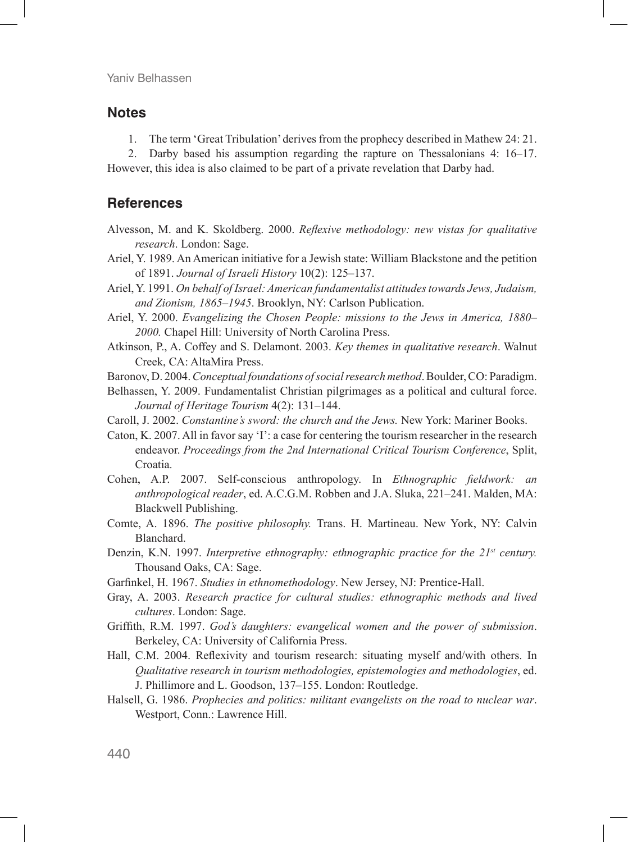#### **Notes**

1. The term 'Great Tribulation' derives from the prophecy described in Mathew 24: 21.

2. Darby based his assumption regarding the rapture on Thessalonians 4: 16–17. However, this idea is also claimed to be part of a private revelation that Darby had.

### **References**

- Alvesson, M. and K. Skoldberg. 2000. *Reflexive methodology: new vistas for qualitative research*. London: Sage.
- Ariel, Y. 1989. An American initiative for a Jewish state: William Blackstone and the petition of 1891. *Journal of Israeli History* 10(2): 125–137.

Ariel, Y. 1991. *On behalf of Israel: American fundamentalist attitudes towards Jews, Judaism, and Zionism, 1865–1945*. Brooklyn, NY: Carlson Publication.

Ariel, Y. 2000. *Evangelizing the Chosen People: missions to the Jews in America, 1880– 2000.* Chapel Hill: University of North Carolina Press.

- Atkinson, P., A. Coffey and S. Delamont. 2003. *Key themes in qualitative research*. Walnut Creek, CA: AltaMira Press.
- Baronov, D. 2004. *Conceptual foundations of social research method*. Boulder, CO: Paradigm.
- Belhassen, Y. 2009. Fundamentalist Christian pilgrimages as a political and cultural force. *Journal of Heritage Tourism* 4(2): 131–144.
- Caroll, J. 2002. *Constantine's sword: the church and the Jews.* New York: Mariner Books.
- Caton, K. 2007. All in favor say 'I': a case for centering the tourism researcher in the research endeavor. *Proceedings from the 2nd International Critical Tourism Conference*, Split, Croatia.
- Cohen, A.P. 2007. Self-conscious anthropology. In *Ethnographic fieldwork: an anthropological reader*, ed. A.C.G.M. Robben and J.A. Sluka, 221–241. Malden, MA: Blackwell Publishing.
- Comte, A. 1896. *The positive philosophy.* Trans. H. Martineau. New York, NY: Calvin Blanchard.
- Denzin, K.N. 1997. *Interpretive ethnography: ethnographic practice for the 21<sup>st</sup> century.* Thousand Oaks, CA: Sage.
- Garfinkel, H. 1967. *Studies in ethnomethodology*. New Jersey, NJ: Prentice-Hall.
- Gray, A. 2003. *Research practice for cultural studies: ethnographic methods and lived cultures*. London: Sage.
- Griffith, R.M. 1997. *God's daughters: evangelical women and the power of submission*. Berkeley, CA: University of California Press.
- Hall, C.M. 2004. Reflexivity and tourism research: situating myself and/with others. In *Qualitative research in tourism methodologies, epistemologies and methodologies*, ed. J. Phillimore and L. Goodson, 137–155. London: Routledge.
- Halsell, G. 1986. *Prophecies and politics: militant evangelists on the road to nuclear war*. Westport, Conn.: Lawrence Hill.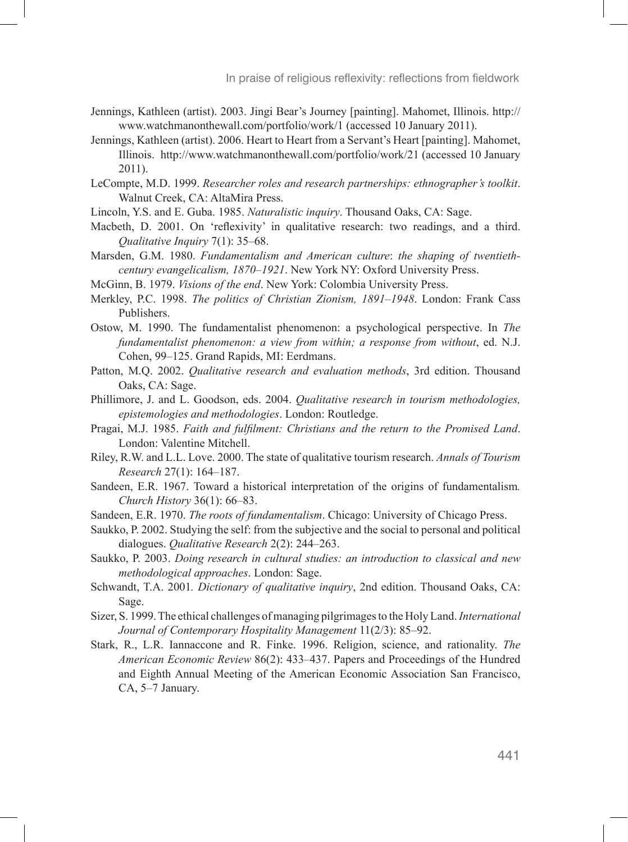- Jennings, Kathleen (artist). 2003. Jingi Bear's Journey [painting]. Mahomet, Illinois. http:// www.watchmanonthewall.com/portfolio/work/1 (accessed 10 January 2011).
- Jennings, Kathleen (artist). 2006. Heart to Heart from a Servant's Heart [painting]. Mahomet, Illinois. http://www.watchmanonthewall.com/portfolio/work/21 (accessed 10 January 2011).
- LeCompte, M.D. 1999. *Researcher roles and research partnerships: ethnographer's toolkit*. Walnut Creek, CA: AltaMira Press.
- Lincoln, Y.S. and E. Guba. 1985. *Naturalistic inquiry*. Thousand Oaks, CA: Sage.
- Macbeth, D. 2001. On 'reflexivity' in qualitative research: two readings, and a third. *Qualitative Inquiry* 7(1): 35–68.
- Marsden, G.M. 1980. *Fundamentalism and American culture*: *the shaping of twentiethcentury evangelicalism, 1870–1921*. New York NY: Oxford University Press.
- McGinn, B. 1979. *Visions of the end*. New York: Colombia University Press.
- Merkley, P.C. 1998. *The politics of Christian Zionism, 1891–1948*. London: Frank Cass Publishers.
- Ostow, M. 1990. The fundamentalist phenomenon: a psychological perspective. In *The fundamentalist phenomenon: a view from within; a response from without*, ed. N.J. Cohen, 99–125. Grand Rapids, MI: Eerdmans.
- Patton, M.Q. 2002. *Qualitative research and evaluation methods*, 3rd edition. Thousand Oaks, CA: Sage.
- Phillimore, J. and L. Goodson, eds. 2004. *Qualitative research in tourism methodologies, epistemologies and methodologies*. London: Routledge.
- Pragai, M.J. 1985. *Faith and fulfilment: Christians and the return to the Promised Land*. London: Valentine Mitchell.
- Riley, R.W. and L.L. Love. 2000. The state of qualitative tourism research. *Annals of Tourism Research* 27(1): 164–187.
- Sandeen, E.R. 1967. Toward a historical interpretation of the origins of fundamentalism*. Church History* 36(1): 66–83.
- Sandeen, E.R. 1970. *The roots of fundamentalism*. Chicago: University of Chicago Press.
- Saukko, P. 2002. Studying the self: from the subjective and the social to personal and political dialogues. *Qualitative Research* 2(2): 244–263.
- Saukko, P. 2003. *Doing research in cultural studies: an introduction to classical and new methodological approaches*. London: Sage.
- Schwandt, T.A. 2001*. Dictionary of qualitative inquiry*, 2nd edition. Thousand Oaks, CA: Sage.
- Sizer, S. 1999. The ethical challenges of managing pilgrimages to the Holy Land. *International Journal of Contemporary Hospitality Management* 11(2/3): 85–92.
- Stark, R., L.R. Iannaccone and R. Finke. 1996. Religion, science, and rationality. *The American Economic Review* 86(2): 433–437. Papers and Proceedings of the Hundred and Eighth Annual Meeting of the American Economic Association San Francisco, CA, 5–7 January.